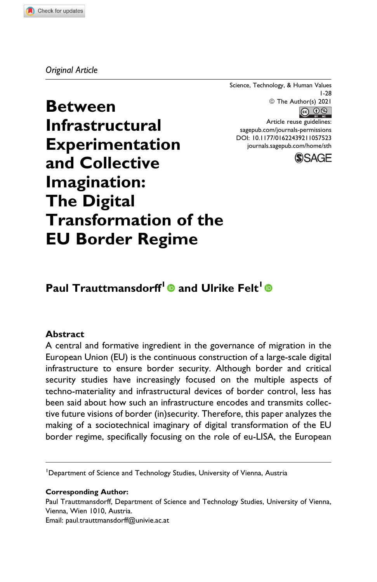### *Original Article*

Science, Technology, & Human Values 1-28 © The Author(s) 2021 **@ 09** 

Article reuse guidelines: [sagepub.com/journals-permissions](https://sagepub.com/journals-permissions) [DOI: 10.1177/01622439211057523](https://doi.org/10.1177/01622439211057523) [journals.sagepub.com/home/sth](http://journals.sagepub.com/home/sth)



**Between Infrastructural Experimentation and Collective Imagination: The Digital Transformation of the EU Border Regime**

# **Paul Trauttmansdorff<sup>1</sup> <b>@** and Ulrike Felt<sup>1</sup> **@**

### **Abstract**

A central and formative ingredient in the governance of migration in the European Union (EU) is the continuous construction of a large-scale digital infrastructure to ensure border security. Although border and critical security studies have increasingly focused on the multiple aspects of techno-materiality and infrastructural devices of border control, less has been said about how such an infrastructure encodes and transmits collective future visions of border (in)security. Therefore, this paper analyzes the making of a sociotechnical imaginary of digital transformation of the EU border regime, specifically focusing on the role of eu-LISA, the European

<sup>1</sup>Department of Science and Technology Studies, University of Vienna, Austria

#### **Corresponding Author:**

Paul Trauttmansdorff, Department of Science and Technology Studies, University of Vienna, Vienna, Wien 1010, Austria.

Email: [paul.trauttmansdorff@univie.ac.at](mailto:paul.trauttmansdorff@univie.ac.at)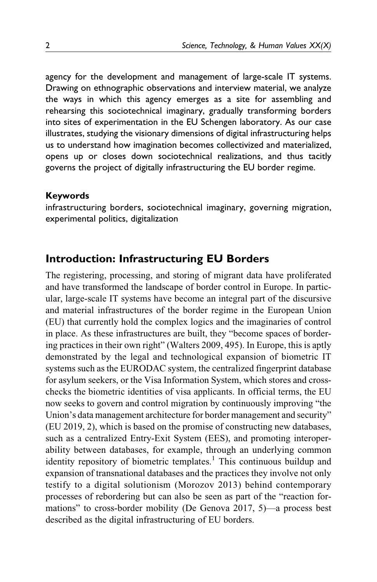agency for the development and management of large-scale IT systems. Drawing on ethnographic observations and interview material, we analyze the ways in which this agency emerges as a site for assembling and rehearsing this sociotechnical imaginary, gradually transforming borders into sites of experimentation in the EU Schengen laboratory. As our case illustrates, studying the visionary dimensions of digital infrastructuring helps us to understand how imagination becomes collectivized and materialized, opens up or closes down sociotechnical realizations, and thus tacitly governs the project of digitally infrastructuring the EU border regime.

### **Keywords**

infrastructuring borders, sociotechnical imaginary, governing migration, experimental politics, digitalization

# **Introduction: Infrastructuring EU Borders**

The registering, processing, and storing of migrant data have proliferated and have transformed the landscape of border control in Europe. In particular, large-scale IT systems have become an integral part of the discursive and material infrastructures of the border regime in the European Union (EU) that currently hold the complex logics and the imaginaries of control in place. As these infrastructures are built, they "become spaces of bordering practices in their own right" ([Walters 2009,](#page-26-0) 495). In Europe, this is aptly demonstrated by the legal and technological expansion of biometric IT systems such as the EURODAC system, the centralized fingerprint database for asylum seekers, or the Visa Information System, which stores and crosschecks the biometric identities of visa applicants. In official terms, the EU now seeks to govern and control migration by continuously improving "the Union's data management architecture for border management and security" [\(EU 2019,](#page-22-0) 2), which is based on the promise of constructing new databases, such as a centralized Entry-Exit System (EES), and promoting interoperability between databases, for example, through an underlying common identity repository of biometric templates.<sup>[1](#page-20-0)</sup> This continuous buildup and expansion of transnational databases and the practices they involve not only testify to a digital solutionism ([Morozov 2013](#page-25-0)) behind contemporary processes of rebordering but can also be seen as part of the "reaction formations" to cross-border mobility (De [Genova 2017](#page-21-0), 5)—a process best described as the digital infrastructuring of EU borders.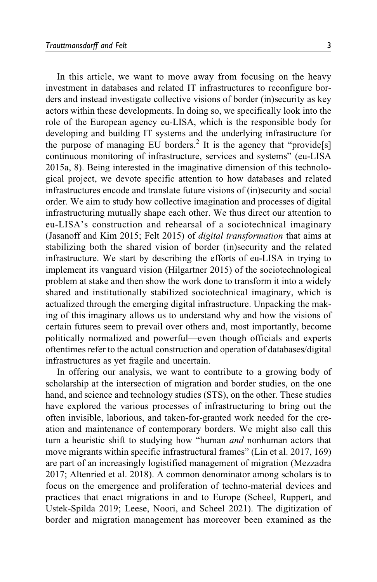In this article, we want to move away from focusing on the heavy investment in databases and related IT infrastructures to reconfigure borders and instead investigate collective visions of border (in)security as key actors within these developments. In doing so, we specifically look into the role of the European agency eu-LISA, which is the responsible body for developing and building IT systems and the underlying infrastructure for the purpose of managing EU borders.<sup>[2](#page-20-0)</sup> It is the agency that "provide<sup>[s]</sup> continuous monitoring of infrastructure, services and systems" [\(eu-LISA](#page-22-0) [2015a](#page-22-0), 8). Being interested in the imaginative dimension of this technological project, we devote specific attention to how databases and related infrastructures encode and translate future visions of (in)security and social order. We aim to study how collective imagination and processes of digital infrastructuring mutually shape each other. We thus direct our attention to eu-LISA's construction and rehearsal of a sociotechnical imaginary [\(Jasanoff and Kim 2015;](#page-24-0) [Felt 2015](#page-23-0)) of digital transformation that aims at stabilizing both the shared vision of border (in)security and the related infrastructure. We start by describing the efforts of eu-LISA in trying to implement its vanguard vision ([Hilgartner 2015\)](#page-24-0) of the sociotechnological problem at stake and then show the work done to transform it into a widely shared and institutionally stabilized sociotechnical imaginary, which is actualized through the emerging digital infrastructure. Unpacking the making of this imaginary allows us to understand why and how the visions of certain futures seem to prevail over others and, most importantly, become politically normalized and powerful—even though officials and experts oftentimes refer to the actual construction and operation of databases/digital infrastructures as yet fragile and uncertain.

In offering our analysis, we want to contribute to a growing body of scholarship at the intersection of migration and border studies, on the one hand, and science and technology studies (STS), on the other. These studies have explored the various processes of infrastructuring to bring out the often invisible, laborious, and taken-for-granted work needed for the creation and maintenance of contemporary borders. We might also call this turn a heuristic shift to studying how "human *and* nonhuman actors that move migrants within specific infrastructural frames" [\(Lin et al. 2017](#page-25-0), 169) are part of an increasingly logistified management of migration ([Mezzadra](#page-25-0) [2017;](#page-25-0) [Altenried et al. 2018](#page-21-0)). A common denominator among scholars is to focus on the emergence and proliferation of techno-material devices and practices that enact migrations in and to Europe [\(Scheel, Ruppert, and](#page-25-0) [Ustek-Spilda 2019](#page-25-0); [Leese, Noori, and Scheel 2021](#page-25-0)). The digitization of border and migration management has moreover been examined as the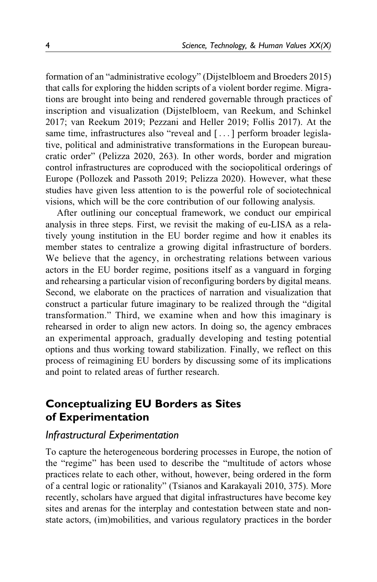formation of an "administrative ecology" ([Dijstelbloem and Broeders 2015\)](#page-22-0) that calls for exploring the hidden scripts of a violent border regime. Migrations are brought into being and rendered governable through practices of inscription and visualization ([Dijstelbloem, van Reekum, and Schinkel](#page-22-0) [2017;](#page-22-0) van [Reekum 2019;](#page-26-0) [Pezzani and Heller 2019](#page-25-0); [Follis 2017](#page-23-0)). At the same time, infrastructures also "reveal and [...] perform broader legislative, political and administrative transformations in the European bureaucratic order" [\(Pelizza 2020,](#page-25-0) 263). In other words, border and migration control infrastructures are coproduced with the sociopolitical orderings of Europe ([Pollozek and Passoth 2019; Pelizza 2020\)](#page-25-0). However, what these studies have given less attention to is the powerful role of sociotechnical visions, which will be the core contribution of our following analysis.

After outlining our conceptual framework, we conduct our empirical analysis in three steps. First, we revisit the making of eu-LISA as a relatively young institution in the EU border regime and how it enables its member states to centralize a growing digital infrastructure of borders. We believe that the agency, in orchestrating relations between various actors in the EU border regime, positions itself as a vanguard in forging and rehearsing a particular vision of reconfiguring borders by digital means. Second, we elaborate on the practices of narration and visualization that construct a particular future imaginary to be realized through the "digital transformation." Third, we examine when and how this imaginary is rehearsed in order to align new actors. In doing so, the agency embraces an experimental approach, gradually developing and testing potential options and thus working toward stabilization. Finally, we reflect on this process of reimagining EU borders by discussing some of its implications and point to related areas of further research.

# **Conceptualizing EU Borders as Sites of Experimentation**

## *Infrastructural Experimentation*

To capture the heterogeneous bordering processes in Europe, the notion of the "regime" has been used to describe the "multitude of actors whose practices relate to each other, without, however, being ordered in the form of a central logic or rationality" ([Tsianos and Karakayali 2010](#page-26-0), 375). More recently, scholars have argued that digital infrastructures have become key sites and arenas for the interplay and contestation between state and nonstate actors, (im)mobilities, and various regulatory practices in the border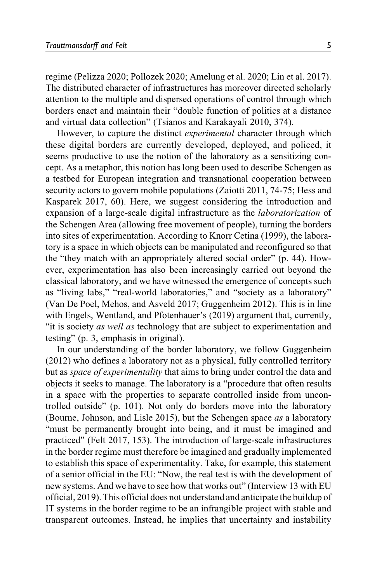regime [\(Pelizza 2020](#page-25-0); [Pollozek 2020](#page-25-0); [Amelung et al. 2020;](#page-21-0) [Lin et al. 2017](#page-25-0)). The distributed character of infrastructures has moreover directed scholarly attention to the multiple and dispersed operations of control through which borders enact and maintain their "double function of politics at a distance and virtual data collection" [\(Tsianos and Karakayali 2010,](#page-26-0) 374).

However, to capture the distinct *experimental* character through which these digital borders are currently developed, deployed, and policed, it seems productive to use the notion of the laboratory as a sensitizing concept. As a metaphor, this notion has long been used to describe Schengen as a testbed for European integration and transnational cooperation between security actors to govern mobile populations [\(Zaiotti 2011](#page-26-0), 74-75; [Hess and](#page-24-0) [Kasparek 2017,](#page-24-0) 60). Here, we suggest considering the introduction and expansion of a large-scale digital infrastructure as the laboratorization of the Schengen Area (allowing free movement of people), turning the borders into sites of experimentation. According to Knorr [Cetina \(1999\),](#page-24-0) the laboratory is a space in which objects can be manipulated and reconfigured so that the "they match with an appropriately altered social order" (p. 44). However, experimentation has also been increasingly carried out beyond the classical laboratory, and we have witnessed the emergence of concepts such as "living labs," "real-world laboratories," and "society as a laboratory" [\(Van De Poel, Mehos, and Asveld 2017](#page-26-0); [Guggenheim 2012](#page-24-0)). This is in line with [Engels, Wentland, and Pfotenhauer's \(2019\)](#page-22-0) argument that, currently, "it is society as well as technology that are subject to experimentation and testing" (p. 3, emphasis in original).

In our understanding of the border laboratory, we follow [Guggenheim](#page-24-0) [\(2012\)](#page-24-0) who defines a laboratory not as a physical, fully controlled territory but as space of experimentality that aims to bring under control the data and objects it seeks to manage. The laboratory is a "procedure that often results in a space with the properties to separate controlled inside from uncontrolled outside" (p. 101). Not only do borders move into the laboratory [\(Bourne, Johnson, and Lisle 2015](#page-21-0)), but the Schengen space as a laboratory "must be permanently brought into being, and it must be imagined and practiced" [\(Felt 2017,](#page-23-0) 153). The introduction of large-scale infrastructures in the border regime must therefore be imagined and gradually implemented to establish this space of experimentality. Take, for example, this statement of a senior official in the EU: "Now, the real test is with the development of new systems. And we have to see how that works out" (Interview 13 with EU official, 2019). This official does not understand and anticipate the buildup of IT systems in the border regime to be an infrangible project with stable and transparent outcomes. Instead, he implies that uncertainty and instability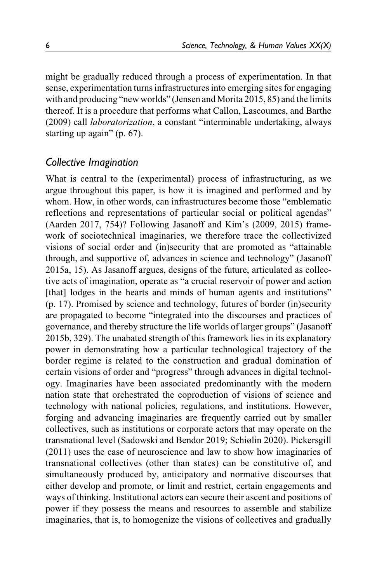might be gradually reduced through a process of experimentation. In that sense, experimentation turns infrastructures into emerging sites for engaging with and producing "new worlds" [\(Jensen and Morita 2015,](#page-24-0) 85) and the limits thereof. It is a procedure that performs what [Callon, Lascoumes, and Barthe](#page-21-0) [\(2009\)](#page-21-0) call laboratorization, a constant "interminable undertaking, always starting up again" (p. 67).

## *Collective Imagination*

What is central to the (experimental) process of infrastructuring, as we argue throughout this paper, is how it is imagined and performed and by whom. How, in other words, can infrastructures become those "emblematic reflections and representations of particular social or political agendas" [\(Aarden 2017](#page-20-0), 754)? Following Jasanoff and Kim's [\(2009](#page-24-0), [2015](#page-24-0)) framework of sociotechnical [imaginaries, we therefore trace the collectivized](#page-24-0) [visions of social order and \(in\)security that are promoted as](#page-24-0) "[attainable](#page-24-0) [through, and supportive of, advances in science and technology](#page-24-0)" [\(Jasanoff](#page-24-0) [2015a](#page-24-0), 15). As Jasanoff argues, designs of the future, articulated as collective acts of imagination, operate as "a crucial reservoir of power and action [that] lodges in the hearts and minds of human agents and institutions" (p. 17). Promised by science and technology, futures of border (in)security are propagated to become "integrated into the discourses and practices of governance, and thereby structure the life worlds of larger groups" ([Jasanoff](#page-24-0) [2015b,](#page-24-0) 329). The unabated strength of this framework lies in its explanatory power in demonstrating how a particular technological trajectory of the border regime is related to the construction and gradual domination of certain visions of order and "progress" through advances in digital technology. Imaginaries have been associated predominantly with the modern nation state that orchestrated the coproduction of visions of science and technology with national policies, regulations, and institutions. However, forging and advancing imaginaries are frequently carried out by smaller collectives, such as institutions or corporate actors that may operate on the transnational level [\(Sadowski and Bendor 2019;](#page-25-0) [Schiølin 2020](#page-26-0)). [Pickersgill](#page-25-0) [\(2011\)](#page-25-0) uses the case of neuroscience and law to show how imaginaries of transnational collectives (other than states) can be constitutive of, and simultaneously produced by, anticipatory and normative discourses that either develop and promote, or limit and restrict, certain engagements and ways of thinking. Institutional actors can secure their ascent and positions of power if they possess the means and resources to assemble and stabilize imaginaries, that is, to homogenize the visions of collectives and gradually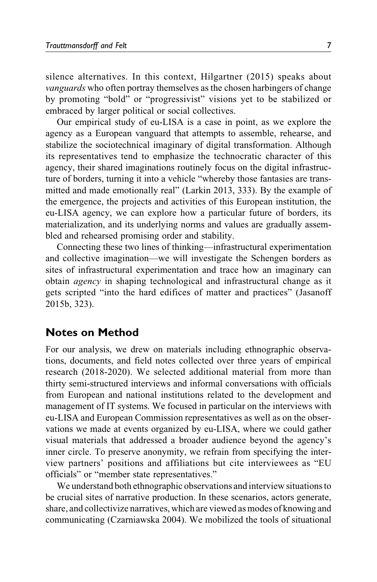silence alternatives. In this context, [Hilgartner \(2015\)](#page-24-0) speaks about vanguards who often portray themselves as the chosen harbingers of change by promoting "bold" or "progressivist" visions yet to be stabilized or embraced by larger political or social collectives.

Our empirical study of eu-LISA is a case in point, as we explore the agency as a European vanguard that attempts to assemble, rehearse, and stabilize the sociotechnical imaginary of digital transformation. Although its representatives tend to emphasize the technocratic character of this agency, their shared imaginations routinely focus on the digital infrastructure of borders, turning it into a vehicle "whereby those fantasies are transmitted and made emotionally real" ([Larkin 2013](#page-24-0), 333). By the example of the emergence, the projects and activities of this European institution, the eu-LISA agency, we can explore how a particular future of borders, its materialization, and its underlying norms and values are gradually assembled and rehearsed promising order and stability.

Connecting these two lines of thinking—infrastructural experimentation and collective imagination—we will investigate the Schengen borders as sites of infrastructural experimentation and trace how an imaginary can obtain agency in shaping technological and infrastructural change as it gets scripted "into the hard edifices of matter and practices" [\(Jasanoff](#page-24-0) [2015b,](#page-24-0) 323).

### **Notes on Method**

For our analysis, we drew on materials including ethnographic observations, documents, and field notes collected over three years of empirical research (2018-2020). We selected additional material from more than thirty semi-structured interviews and informal conversations with officials from European and national institutions related to the development and management of IT systems. We focused in particular on the interviews with eu-LISA and European Commission representatives as well as on the observations we made at events organized by eu-LISA, where we could gather visual materials that addressed a broader audience beyond the agency's inner circle. To preserve anonymity, we refrain from specifying the interview partners' positions and affiliations but cite interviewees as "EU officials" or "member state representatives."

We understand both ethnographic observations and interview situations to be crucial sites of narrative production. In these scenarios, actors generate, share, and collectivize narratives, which are viewed as modes of knowing and communicating [\(Czarniawska 2004](#page-21-0)). We mobilized the tools of situational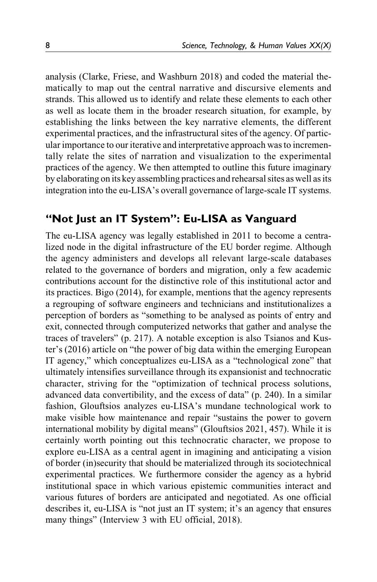analysis [\(Clarke, Friese, and Washburn 2018](#page-21-0)) and coded the material thematically to map out the central narrative and discursive elements and strands. This allowed us to identify and relate these elements to each other as well as locate them in the broader research situation, for example, by establishing the links between the key narrative elements, the different experimental practices, and the infrastructural sites of the agency. Of particular importance to our iterative and interpretative approach was to incrementally relate the sites of narration and visualization to the experimental practices of the agency. We then attempted to outline this future imaginary by elaborating on its key assembling practices and rehearsal sites as well as its integration into the eu-LISA's overall governance of large-scale IT systems.

# **"Not Just an IT System": Eu-LISA as Vanguard**

The eu-LISA agency was legally established in 2011 to become a centralized node in the digital infrastructure of the EU border regime. Although the agency administers and develops all relevant large-scale databases related to the governance of borders and migration, only a few academic contributions account for the distinctive role of this institutional actor and its practices. [Bigo \(2014\)](#page-21-0), for example, mentions that the agency represents a regrouping of software engineers and technicians and institutionalizes a perception of borders as "something to be analysed as points of entry and exit, connected through computerized networks that gather and analyse the traces of travelers" (p. 217). A notable exception is also Tsianos and Kuster's [\(2016\)](#page-26-0) article on "the power of big data within the emerging European IT agency," which conceptualizes eu-LISA as a "technological zone" that ultimately intensifies surveillance through its expansionist and technocratic character, striving for the "optimization of technical process solutions, advanced data convertibility, and the excess of data" (p. 240). In a similar fashion, Glouftsios analyzes eu-LISA's mundane technological work to make visible how maintenance and repair "sustains the power to govern international mobility by digital means" [\(Glouftsios 2021,](#page-24-0) 457). While it is certainly worth pointing out this technocratic character, we propose to explore eu-LISA as a central agent in imagining and anticipating a vision of border (in)security that should be materialized through its sociotechnical experimental practices. We furthermore consider the agency as a hybrid institutional space in which various epistemic communities interact and various futures of borders are anticipated and negotiated. As one official describes it, eu-LISA is "not just an IT system; it's an agency that ensures many things" (Interview 3 with EU official, 2018).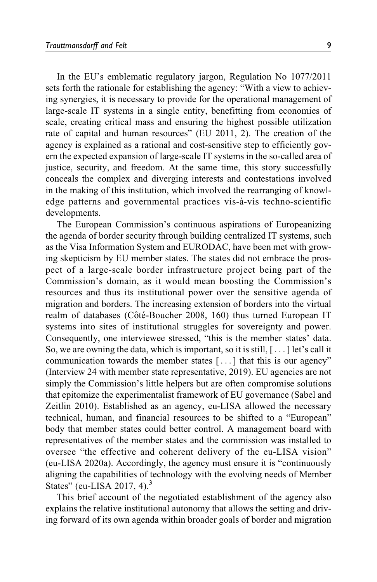In the EU's emblematic regulatory jargon, Regulation No 1077/2011 sets forth the rationale for establishing the agency: "With a view to achieving synergies, it is necessary to provide for the operational management of large-scale IT systems in a single entity, benefitting from economies of scale, creating critical mass and ensuring the highest possible utilization rate of capital and human resources" [\(EU 2011](#page-22-0), 2). The creation of the agency is explained as a rational and cost-sensitive step to efficiently govern the expected expansion of large-scale IT systems in the so-called area of justice, security, and freedom. At the same time, this story successfully conceals the complex and diverging interests and contestations involved in the making of this institution, which involved the rearranging of knowledge patterns and governmental practices vis-à-vis techno-scientific developments.

The European Commission's continuous aspirations of Europeanizing the agenda of border security through building centralized IT systems, such as the Visa Information System and EURODAC, have been met with growing skepticism by EU member states. The states did not embrace the prospect of a large-scale border infrastructure project being part of the Commission's domain, as it would mean boosting the Commission's resources and thus its institutional power over the sensitive agenda of migration and borders. The increasing extension of borders into the virtual realm of databases [\(C](#page-21-0)ôté-Boucher 2008, 160) thus turned European IT systems into sites of institutional struggles for sovereignty and power. Consequently, one interviewee stressed, "this is the member states' data. So, we are owning the data, which is important, so it is still,  $[\dots]$  let's call it communication towards the member states [... ] that this is our agency" (Interview 24 with member state representative, 2019). EU agencies are not simply the Commission's little helpers but are often compromise solutions that epitomize the experimentalist framework of EU governance [\(Sabel and](#page-25-0) [Zeitlin 2010](#page-25-0)). Established as an agency, eu-LISA allowed the necessary technical, human, and financial resources to be shifted to a "European" body that member states could better control. A management board with representatives of the member states and the commission was installed to oversee "the effective and coherent delivery of the eu-LISA vision" [\(eu-LISA 2020a](#page-23-0)). Accordingly, the agency must ensure it is "continuously aligning the capabilities of technology with the evolving needs of Member States" [\(eu-LISA 2017](#page-23-0), 4). $3$ 

This brief account of the negotiated establishment of the agency also explains the relative institutional autonomy that allows the setting and driving forward of its own agenda within broader goals of border and migration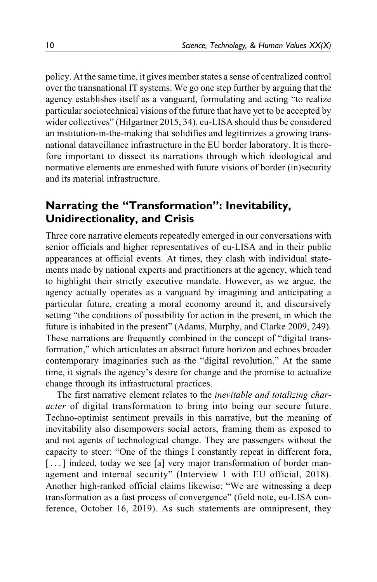policy. At the same time, it gives member states a sense of centralized control over the transnational IT systems. We go one step further by arguing that the agency establishes itself as a vanguard, formulating and acting "to realize particular sociotechnical visions of the future that have yet to be accepted by wider collectives" ([Hilgartner 2015,](#page-24-0) 34). eu-LISA should thus be considered an institution-in-the-making that solidifies and legitimizes a growing transnational dataveillance infrastructure in the EU border laboratory. It is therefore important to dissect its narrations through which ideological and normative elements are enmeshed with future visions of border (in)security and its material infrastructure.

# **Narrating the "Transformation": Inevitability, Unidirectionality, and Crisis**

Three core narrative elements repeatedly emerged in our conversations with senior officials and higher representatives of eu-LISA and in their public appearances at official events. At times, they clash with individual statements made by national experts and practitioners at the agency, which tend to highlight their strictly executive mandate. However, as we argue, the agency actually operates as a vanguard by imagining and anticipating a particular future, creating a moral economy around it, and discursively setting "the conditions of possibility for action in the present, in which the future is inhabited in the present" ([Adams, Murphy, and Clarke 2009,](#page-21-0) 249). These narrations are frequently combined in the concept of "digital transformation," which articulates an abstract future horizon and echoes broader contemporary imaginaries such as the "digital revolution." At the same time, it signals the agency's desire for change and the promise to actualize change through its infrastructural practices.

The first narrative element relates to the inevitable and totalizing character of digital transformation to bring into being our secure future. Techno-optimist sentiment prevails in this narrative, but the meaning of inevitability also disempowers social actors, framing them as exposed to and not agents of technological change. They are passengers without the capacity to steer: "One of the things I constantly repeat in different fora, [...] indeed, today we see [a] very major transformation of border management and internal security" (Interview 1 with EU official, 2018). Another high-ranked official claims likewise: "We are witnessing a deep transformation as a fast process of convergence" (field note, eu-LISA conference, October 16, 2019). As such statements are omnipresent, they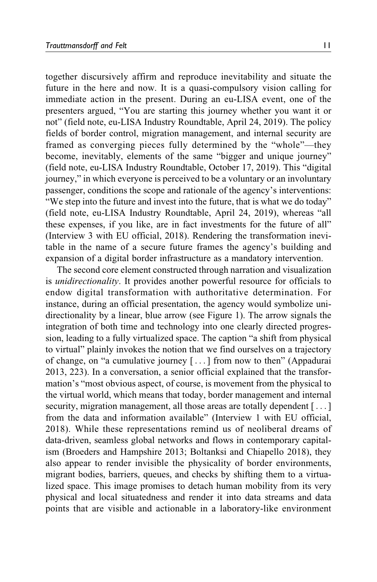together discursively affirm and reproduce inevitability and situate the future in the here and now. It is a quasi-compulsory vision calling for immediate action in the present. During an eu-LISA event, one of the presenters argued, "You are starting this journey whether you want it or not" (field note, eu-LISA Industry Roundtable, April 24, 2019). The policy fields of border control, migration management, and internal security are framed as converging pieces fully determined by the "whole"—they become, inevitably, elements of the same "bigger and unique journey" (field note, eu-LISA Industry Roundtable, October 17, 2019). This "digital journey," in which everyone is perceived to be a voluntary or an involuntary passenger, conditions the scope and rationale of the agency's interventions: "We step into the future and invest into the future, that is what we do today" (field note, eu-LISA Industry Roundtable, April 24, 2019), whereas "all these expenses, if you like, are in fact investments for the future of all" (Interview 3 with EU official, 2018). Rendering the transformation inevitable in the name of a secure future frames the agency's building and expansion of a digital border infrastructure as a mandatory intervention.

The second core element constructed through narration and visualization is unidirectionality. It provides another powerful resource for officials to endow digital transformation with authoritative determination. For instance, during an official presentation, the agency would symbolize unidirectionality by a linear, blue arrow (see [Figure 1\)](#page-11-0). The arrow signals the integration of both time and technology into one clearly directed progression, leading to a fully virtualized space. The caption "a shift from physical to virtual" plainly invokes the notion that we find ourselves on a trajectory of change, on "a cumulative journey [ ...] from now to then" [\(Appadurai](#page-21-0) [2013,](#page-21-0) 223). In a conversation, a senior official explained that the transformation's "most obvious aspect, of course, is movement from the physical to the virtual world, which means that today, border management and internal security, migration management, all those areas are totally dependent [...] from the data and information available" (Interview 1 with EU official, 2018). While these representations remind us of neoliberal dreams of data-driven, seamless global networks and flows in contemporary capitalism [\(Broeders and Hampshire 2013; Boltanksi and Chiapello 2018\)](#page-21-0), they also appear to render invisible the physicality of border environments, migrant bodies, barriers, queues, and checks by shifting them to a virtualized space. This image promises to detach human mobility from its very physical and local situatedness and render it into data streams and data points that are visible and actionable in a laboratory-like environment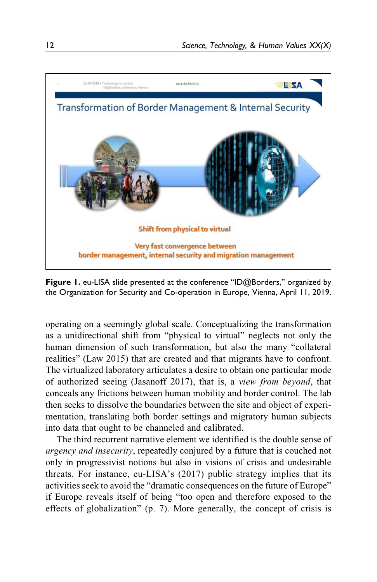<span id="page-11-0"></span>

**Figure 1.** eu-LISA slide presented at the conference "ID@Borders," organized by the Organization for Security and Co-operation in Europe, Vienna, April 11, 2019.

operating on a seemingly global scale. Conceptualizing the transformation as a unidirectional shift from "physical to virtual" neglects not only the human dimension of such transformation, but also the many "collateral realities" ([Law 2015\)](#page-25-0) that are created and that migrants have to confront. The virtualized laboratory articulates a desire to obtain one particular mode of authorized seeing ([Jasanoff 2017](#page-24-0)), that is, a view from beyond, that conceals any frictions between human mobility and border control. The lab then seeks to dissolve the boundaries between the site and object of experimentation, translating both border settings and migratory human subjects into data that ought to be channeled and calibrated.

The third recurrent narrative element we identified is the double sense of urgency and insecurity, repeatedly conjured by a future that is couched not only in progressivist notions but also in visions of crisis and undesirable threats. For instance, eu-LISA's [\(2017\)](#page-23-0) public [strategy implies that its](#page-26-0) [activities seek to avoid the](#page-26-0) "[dramatic consequences on the future of Europe"](#page-26-0) [if Europe reveals itself of being "too open and therefore exposed to the](#page-26-0) [effects of globalization" \(p. 7\). More generally, the concept of crisis is](#page-26-0)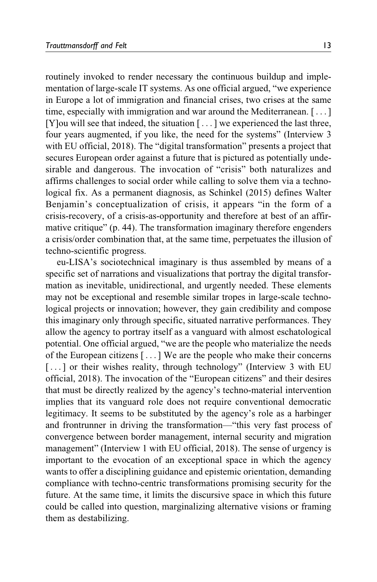[routinely invoked to render necessary the continuous buildup and imple](#page-26-0)[mentation of large-scale IT systems. As one official argued, "we experience](#page-26-0) [in Europe a lot of immigration and financial crises, two crises at the same](#page-26-0) [time, especially with immigration and war around the Mediterranean. \[](#page-26-0)... [\]](#page-26-0) [\[Y\]ou will see that indeed, the situation \[](#page-26-0) ... [\] we experienced the last three,](#page-26-0) [four years augmented, if you like, the need for the systems](#page-26-0)" [\(Interview 3](#page-26-0) [with EU official, 2018\). The](#page-26-0) "[digital transformation](#page-26-0)" [presents a project that](#page-26-0) [secures European order against a future that is pictured as potentially unde](#page-26-0)[sirable and dangerous. The invocation of](#page-26-0) "[crisis" both naturalizes and](#page-26-0) [affirms challenges to social order while calling to solve them via a techno](#page-26-0)[logical fix. As a permanent diagnosis, as Schinkel \(2015\)](#page-26-0) defines Walter Benjamin's conceptualization of crisis, it appears "in the form of a crisis-recovery, of a crisis-as-opportunity and therefore at best of an affirmative critique" (p. 44). The transformation imaginary therefore engenders a crisis/order combination that, at the same time, perpetuates the illusion of techno-scientific progress.

eu-LISA's sociotechnical imaginary is thus assembled by means of a specific set of narrations and visualizations that portray the digital transformation as inevitable, unidirectional, and urgently needed. These elements may not be exceptional and resemble similar tropes in large-scale technological projects or innovation; however, they gain credibility and compose this imaginary only through specific, situated narrative performances. They allow the agency to portray itself as a vanguard with almost eschatological potential. One official argued, "we are the people who materialize the needs of the European citizens [ ... ] We are the people who make their concerns [...] or their wishes reality, through technology" (Interview 3 with EU official, 2018). The invocation of the "European citizens" and their desires that must be directly realized by the agency's techno-material intervention implies that its vanguard role does not require conventional democratic legitimacy. It seems to be substituted by the agency's role as a harbinger and frontrunner in driving the transformation—"this very fast process of convergence between border management, internal security and migration management" (Interview 1 with EU official, 2018). The sense of urgency is important to the evocation of an exceptional space in which the agency wants to offer a disciplining guidance and epistemic orientation, demanding compliance with techno-centric transformations promising security for the future. At the same time, it limits the discursive space in which this future could be called into question, marginalizing alternative visions or framing them as destabilizing.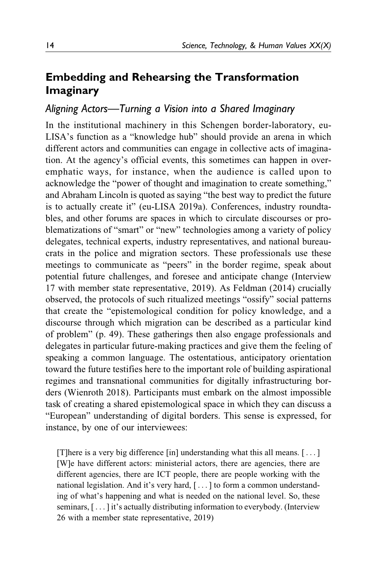# **Embedding and Rehearsing the Transformation Imaginary**

## *Aligning Actors—Turning a Vision into a Shared Imaginary*

In the institutional machinery in this Schengen border-laboratory, eu-LISA's function as a "knowledge hub" should provide an arena in which different actors and communities can engage in collective acts of imagination. At the agency's official events, this sometimes can happen in overemphatic ways, for instance, when the audience is called upon to acknowledge the "power of thought and imagination to create something," and Abraham Lincoln is quoted as saying "the best way to predict the future is to actually create it" ([eu-LISA 2019a](#page-23-0)). Conferences, industry roundtables, and other forums are spaces in which to circulate discourses or problematizations of "smart" or "new" technologies among a variety of policy delegates, technical experts, industry representatives, and national bureaucrats in the police and migration sectors. These professionals use these meetings to communicate as "peers" in the border regime, speak about potential future challenges, and foresee and anticipate change (Interview 17 with member state representative, 2019). As [Feldman \(2014\)](#page-23-0) crucially observed, the protocols of such ritualized meetings "ossify" social patterns that create the "epistemological condition for policy knowledge, and a discourse through which migration can be described as a particular kind of problem" (p. 49). These gatherings then also engage professionals and delegates in particular future-making practices and give them the feeling of speaking a common language. The ostentatious, anticipatory orientation toward the future testifies here to the important role of building aspirational regimes and transnational communities for digitally infrastructuring borders ([Wienroth 2018\)](#page-26-0). Participants must embark on the almost impossible task of creating a shared epistemological space in which they can discuss a "European" understanding of digital borders. This sense is expressed, for instance, by one of our interviewees:

[T]here is a very big difference [in] understanding what this all means. [ ...] [W]e have different actors: ministerial actors, there are agencies, there are different agencies, there are ICT people, there are people working with the national legislation. And it's very hard, [ ...] to form a common understanding of what's happening and what is needed on the national level. So, these seminars,  $[\dots]$  it's actually distributing information to everybody. (Interview 26 with a member state representative, 2019)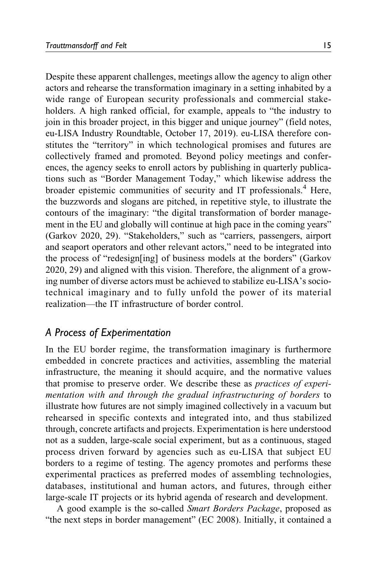Despite these apparent challenges, meetings allow the agency to align other actors and rehearse the transformation imaginary in a setting inhabited by a wide range of European security professionals and commercial stakeholders. A high ranked official, for example, appeals to "the industry to join in this broader project, in this bigger and unique journey" (field notes, eu-LISA Industry Roundtable, October 17, 2019). eu-LISA therefore constitutes the "territory" in which technological promises and futures are collectively framed and promoted. Beyond policy meetings and conferences, the agency seeks to enroll actors by publishing in quarterly publications such as "Border Management Today," which likewise address the broader epistemic communities of security and IT professionals.<sup>[4](#page-20-0)</sup> Here, the buzzwords and slogans are pitched, in repetitive style, to illustrate the contours of the imaginary: "the digital transformation of border management in the EU and globally will continue at high pace in the coming years" [\(Garkov 2020,](#page-24-0) 29). "Stakeholders," such as "carriers, passengers, airport and seaport operators and other relevant actors," need to be integrated into the process of "redesign[ing] of business models at the borders" [\(Garkov](#page-24-0) [2020,](#page-24-0) 29) and aligned with this vision. Therefore, the alignment of a growing number of diverse actors must be achieved to stabilize eu-LISA's sociotechnical imaginary and to fully unfold the power of its material realization—the IT infrastructure of border control.

## *A Process of Experimentation*

In the EU border regime, the transformation imaginary is furthermore embedded in concrete practices and activities, assembling the material infrastructure, the meaning it should acquire, and the normative values that promise to preserve order. We describe these as practices of experimentation with and through the gradual infrastructuring of borders to illustrate how futures are not simply imagined collectively in a vacuum but rehearsed in specific contexts and integrated into, and thus stabilized through, concrete artifacts and projects. Experimentation is here understood not as a sudden, large-scale social experiment, but as a continuous, staged process driven forward by agencies such as eu-LISA that subject EU borders to a regime of testing. The agency promotes and performs these experimental practices as preferred modes of assembling technologies, databases, institutional and human actors, and futures, through either large-scale IT projects or its hybrid agenda of research and development.

A good example is the so-called Smart Borders Package, proposed as "the next steps in border management" ([EC 2008\)](#page-22-0). Initially, it contained a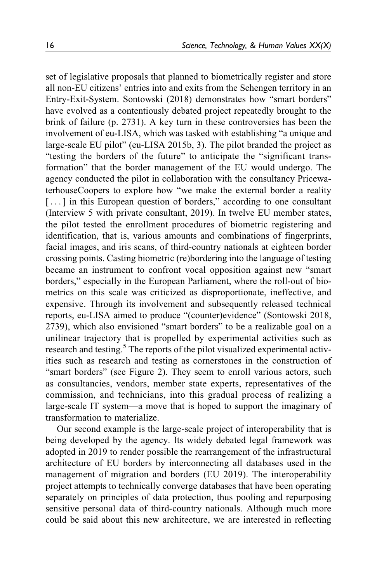set of legislative proposals that planned to biometrically register and store all non-EU citizens' entries into and exits from the Schengen territory in an Entry-Exit-System. Sontowski [\(2018\)](#page-26-0) [demonstrates how](#page-22-0) "[smart borders"](#page-22-0) [have evolved as a contentiously debated project repeatedly brought to the](#page-22-0) [brink of failure \(p. 2731\). A key turn in these controversies has been the](#page-22-0) [involvement of eu-LISA, which was tasked with establishing](#page-22-0) ["a unique and](#page-22-0) [large-scale EU pilot](#page-22-0)" [\(eu-LISA 2015b](#page-22-0), 3). The pilot branded the project as "testing the borders of the future" to anticipate the "significant transformation" that the border management of the EU would undergo. The agency conducted the pilot in collaboration with the consultancy PricewaterhouseCoopers to explore how "we make the external border a reality [...] in this European question of borders," according to one consultant (Interview 5 with private consultant, 2019). In twelve EU member states, the pilot tested the enrollment procedures of biometric registering and identification, that is, various amounts and combinations of fingerprints, facial images, and iris scans, of third-country nationals at eighteen border crossing points. Casting biometric (re)bordering into the language of testing became an instrument to confront vocal opposition against new "smart borders," especially in the European Parliament, where the roll-out of biometrics on this scale was criticized as disproportionate, ineffective, and expensive. Through its involvement and subsequently released technical reports, eu-LISA aimed to produce "(counter)evidence" ([Sontowski 2018,](#page-26-0) 2739), which also envisioned "smart borders" to be a realizable goal on a unilinear trajectory that is propelled by experimental activities such as research and testing.<sup>5</sup> The reports of the pilot visualized experimental activities such as research and testing as cornerstones in the construction of "smart borders" (see [Figure 2\)](#page-16-0). They seem to enroll various actors, such as consultancies, vendors, member state experts, representatives of the commission, and technicians, into this gradual process of realizing a large-scale IT system—a move that is hoped to support the imaginary of transformation to materialize.

Our second example is the large-scale project of interoperability that is being developed by the agency. Its widely debated legal framework was adopted in 2019 to render possible the rearrangement of the infrastructural architecture of EU borders by interconnecting all databases used in the management of migration and borders [\(EU 2019](#page-22-0)). The interoperability project attempts to technically converge databases that have been operating separately on principles of data protection, thus pooling and repurposing sensitive personal data of third-country nationals. Although much more could be said about this new architecture, we are interested in reflecting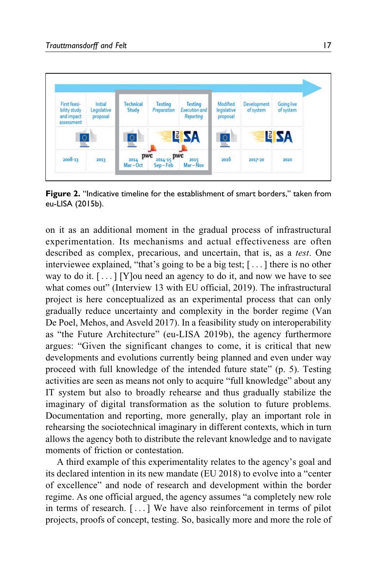<span id="page-16-0"></span>

**Figure 2.** "Indicative timeline for the establishment of smart borders," taken from [eu-LISA \(2015b\)](#page-22-0).

on it as an additional moment in the gradual process of infrastructural experimentation. Its mechanisms and actual effectiveness are often described as complex, precarious, and uncertain, that is, as a test. One interviewee explained, "that's going to be a big test; [... ] there is no other way to do it.  $[\dots]$  [Y] ou need an agency to do it, and now we have to see what comes out" (Interview 13 with EU official, 2019). The infrastructural project is here conceptualized as an experimental process that can only gradually reduce uncertainty and complexity in the border regime (Van De [Poel, Mehos, and Asveld 2017\)](#page-26-0). In a feasibility study on interoperability as "the Future Architecture" ([eu-LISA 2019b\)](#page-23-0), the agency furthermore argues: "Given the significant changes to come, it is critical that new developments and evolutions currently being planned and even under way proceed with full knowledge of the intended future state" (p. 5). Testing activities are seen as means not only to acquire "full knowledge" about any IT system but also to broadly rehearse and thus gradually stabilize the imaginary of digital transformation as the solution to future problems. Documentation and reporting, more generally, play an important role in rehearsing the sociotechnical imaginary in different contexts, which in turn allows the agency both to distribute the relevant knowledge and to navigate moments of friction or contestation.

A third example of this experimentality relates to the agency's goal and its declared intention in its new mandate [\(EU 2018\)](#page-22-0) to evolve into a "center of excellence" and node of research and development within the border regime. As one official argued, the agency assumes "a completely new role in terms of research. [ ... ] We have also reinforcement in terms of pilot projects, proofs of concept, testing. So, basically more and more the role of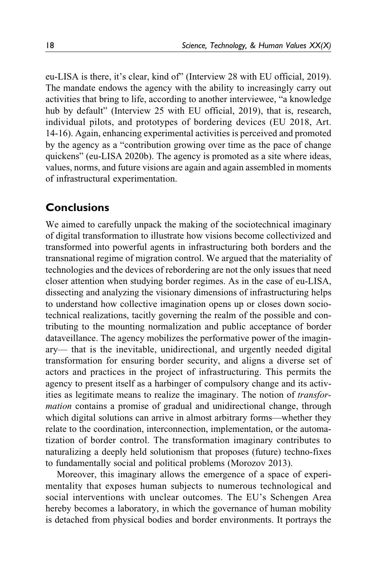eu-LISA is there, it's clear, kind of" (Interview 28 with EU official, 2019). The mandate endows the agency with the ability to increasingly carry out activities that bring to life, according to another interviewee, "a knowledge hub by default" (Interview 25 with EU official, 2019), that is, research, individual pilots, and prototypes of bordering devices ([EU 2018](#page-22-0), Art. 14-16). Again, enhancing experimental activities is perceived and promoted by the agency as a "contribution growing over time as the pace of change quickens" ([eu-LISA 2020b](#page-23-0)). The agency is promoted as a site where ideas, values, norms, and future visions are again and again assembled in moments of infrastructural experimentation.

## **Conclusions**

We aimed to carefully unpack the making of the sociotechnical imaginary of digital transformation to illustrate how visions become collectivized and transformed into powerful agents in infrastructuring both borders and the transnational regime of migration control. We argued that the materiality of technologies and the devices of rebordering are not the only issues that need closer attention when studying border regimes. As in the case of eu-LISA, dissecting and analyzing the visionary dimensions of infrastructuring helps to understand how collective imagination opens up or closes down sociotechnical realizations, tacitly governing the realm of the possible and contributing to the mounting normalization and public acceptance of border dataveillance. The agency mobilizes the performative power of the imaginary— that is the inevitable, unidirectional, and urgently needed digital transformation for ensuring border security, and aligns a diverse set of actors and practices in the project of infrastructuring. This permits the agency to present itself as a harbinger of compulsory change and its activities as legitimate means to realize the imaginary. The notion of *transfor*mation contains a promise of gradual and unidirectional change, through which digital solutions can arrive in almost arbitrary forms—whether they relate to the coordination, interconnection, implementation, or the automatization of border control. The transformation imaginary contributes to naturalizing a deeply held solutionism that proposes (future) techno-fixes to fundamentally social and political problems [\(Morozov 2013\)](#page-25-0).

Moreover, this imaginary allows the emergence of a space of experimentality that exposes human subjects to numerous technological and social interventions with unclear outcomes. The EU's Schengen Area hereby becomes a laboratory, in which the governance of human mobility is detached from physical bodies and border environments. It portrays the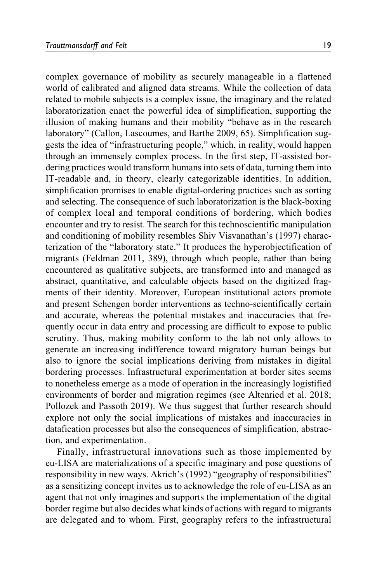complex governance of mobility as securely manageable in a flattened world of calibrated and aligned data streams. While the collection of data related to mobile subjects is a complex issue, the imaginary and the related laboratorization enact the powerful idea of simplification, supporting the illusion of making humans and their mobility "behave as in the research laboratory" [\(Callon, Lascoumes, and Barthe 2009,](#page-21-0) 65). Simplification suggests the idea of "infrastructuring people," which, in reality, would happen through an immensely complex process. In the first step, IT-assisted bordering practices would transform humans into sets of data, turning them into IT-readable and, in theory, clearly categorizable identities. In addition, simplification promises to enable digital-ordering practices such as sorting and selecting. The consequence of such laboratorization is the black-boxing of complex local and temporal conditions of bordering, which bodies encounter and try to resist. The search for this technoscientific manipulation and conditioning of mobility resembles Shiv Visvanathan's [\(1997\)](#page-26-0) characterization of the "laboratory [state." It produces the hyperobjectification of](#page-23-0) [migrants \(Feldman 2011](#page-23-0), 389), through which people, rather than being encountered as qualitative subjects, are transformed into and managed as abstract, quantitative, and calculable objects based on the digitized fragments of their identity. Moreover, European institutional actors promote and present Schengen border interventions as techno-scientifically certain and accurate, whereas the potential mistakes and inaccuracies that frequently occur in data entry and processing are difficult to expose to public scrutiny. Thus, making mobility conform to the lab not only allows to generate an increasing indifference toward migratory human beings but also to ignore the social implications deriving from mistakes in digital bordering processes. Infrastructural experimentation at border sites seems to nonetheless emerge as a mode of operation in the increasingly logistified environments of border and migration regimes (see [Altenried et al. 2018](#page-21-0); [Pollozek and Passoth 2019](#page-25-0)). We thus suggest that further research should explore not only the social implications of mistakes and inaccuracies in datafication processes but also the consequences of simplification, abstraction, and experimentation.

Finally, infrastructural innovations such as those implemented by eu-LISA are materializations of a specific imaginary and pose questions of responsibility in new ways. Akrich's [\(1992\)](#page-21-0) "geography of responsibilities" as a sensitizing concept invites us to acknowledge the role of eu-LISA as an agent that not only imagines and supports the implementation of the digital border regime but also decides what kinds of actions with regard to migrants are delegated and to whom. First, geography refers to the infrastructural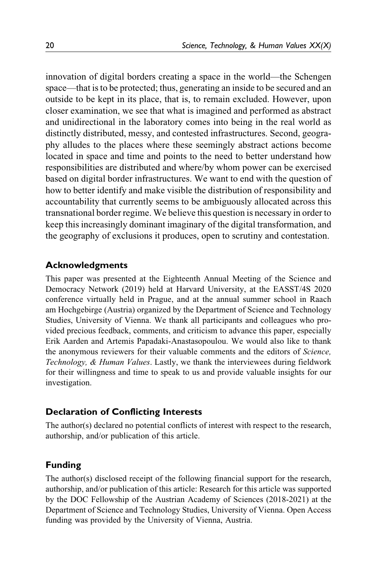innovation of digital borders creating a space in the world—the Schengen space—that is to be protected; thus, generating an inside to be secured and an outside to be kept in its place, that is, to remain excluded. However, upon closer examination, we see that what is imagined and performed as abstract and unidirectional in the laboratory comes into being in the real world as distinctly distributed, messy, and contested infrastructures. Second, geography alludes to the places where these seemingly abstract actions become located in space and time and points to the need to better understand how responsibilities are distributed and where/by whom power can be exercised based on digital border infrastructures. We want to end with the question of how to better identify and make visible the distribution of responsibility and accountability that currently seems to be ambiguously allocated across this transnational border regime. We believe this question is necessary in order to keep this increasingly dominant imaginary of the digital transformation, and the geography of exclusions it produces, open to scrutiny and contestation.

### **Acknowledgments**

This paper was presented at the Eighteenth Annual Meeting of the Science and Democracy Network (2019) held at Harvard University, at the EASST/4S 2020 conference virtually held in Prague, and at the annual summer school in Raach am Hochgebirge (Austria) organized by the Department of Science and Technology Studies, University of Vienna. We thank all participants and colleagues who provided precious feedback, comments, and criticism to advance this paper, especially Erik Aarden and Artemis Papadaki-Anastasopoulou. We would also like to thank the anonymous reviewers for their valuable comments and the editors of Science, Technology, & Human Values. Lastly, we thank the interviewees during fieldwork for their willingness and time to speak to us and provide valuable insights for our investigation.

### **Declaration of Conflicting Interests**

The author(s) declared no potential conflicts of interest with respect to the research, authorship, and/or publication of this article.

### **Funding**

The author(s) disclosed receipt of the following financial support for the research, authorship, and/or publication of this article: Research for this article was supported by the DOC Fellowship of the Austrian Academy of Sciences (2018-2021) at the Department of Science and Technology Studies, University of Vienna. Open Access funding was provided by the University of Vienna, Austria.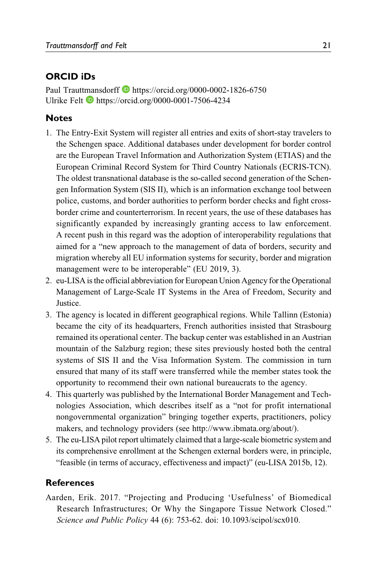### <span id="page-20-0"></span>**ORCID iDs**

Paul Trauttmansdorff **b** <https://orcid.org/0000-0002-1826-6750> Ulrike Felt **b** <https://orcid.org/0000-0001-7506-4234>

## **Notes**

- 1. The Entry-Exit System will register all entries and exits of short-stay travelers to the Schengen space. Additional databases under development for border control are the European Travel Information and Authorization System (ETIAS) and the European Criminal Record System for Third Country Nationals (ECRIS-TCN). The oldest transnational database is the so-called second generation of the Schengen Information System (SIS II), which is an information exchange tool between police, customs, and border authorities to perform border checks and fight crossborder crime and counterterrorism. In recent years, the use of these databases has significantly expanded by increasingly granting access to law enforcement. A recent push in this regard was the adoption of interoperability regulations that aimed for a "new approach to the management of data of borders, security and migration whereby all EU information systems for security, border and migration management were to be interoperable" [\(EU 2019,](#page-22-0) 3).
- 2. eu-LISA is the official abbreviation for European Union Agency for the Operational Management of Large-Scale IT Systems in the Area of Freedom, Security and Justice.
- 3. The agency is located in different geographical regions. While Tallinn (Estonia) became the city of its headquarters, French authorities insisted that Strasbourg remained its operational center. The backup center was established in an Austrian mountain of the Salzburg region; these sites previously hosted both the central systems of SIS II and the Visa Information System. The commission in turn ensured that many of its staff were transferred while the member states took the opportunity to recommend their own national bureaucrats to the agency.
- 4. This quarterly was published by the International Border Management and Technologies Association, which describes itself as a "not for profit international nongovernmental organization" bringing together experts, practitioners, policy makers, and technology providers (see [http://www.ibmata.org/about/\)](http://www.ibmata.org/about/).
- 5. The eu-LISA pilot report ultimately claimed that a large-scale biometric system and its comprehensive enrollment at the Schengen external borders were, in principle, "feasible (in terms of accuracy, effectiveness and impact)" ([eu-LISA 2015b,](#page-22-0) 12).

### **References**

Aarden, Erik. 2017. "Projecting and Producing 'Usefulness' of Biomedical Research Infrastructures; Or Why the Singapore Tissue Network Closed." Science and Public Policy 44 (6): 753-62. doi: 10.1093/scipol/scx010.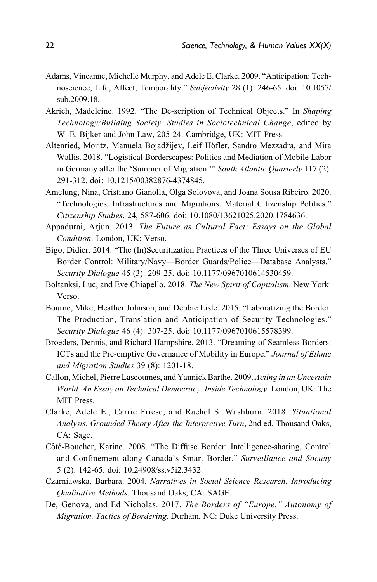- <span id="page-21-0"></span>Adams, Vincanne, Michelle Murphy, and Adele E. Clarke. 2009. "Anticipation: Technoscience, Life, Affect, Temporality." Subjectivity 28 (1): 246-65. doi: 10.1057/ sub.2009.18.
- Akrich, Madeleine. 1992. "The De-scription of Technical Objects." In Shaping Technology/Building Society. Studies in Sociotechnical Change, edited by W. E. Bijker and John Law, 205-24. Cambridge, UK: MIT Press.
- Altenried, Moritz, Manuela Bojadžijev, Leif Höfler, Sandro Mezzadra, and Mira Wallis. 2018. "Logistical Borderscapes: Politics and Mediation of Mobile Labor in Germany after the 'Summer of Migration.'" South Atlantic Quarterly 117 (2): 291-312. doi: 10.1215/00382876-4374845.
- Amelung, Nina, Cristiano Gianolla, Olga Solovova, and Joana Sousa Ribeiro. 2020. "Technologies, Infrastructures and Migrations: Material Citizenship Politics." Citizenship Studies, 24, 587-606. doi: 10.1080/13621025.2020.1784636.
- Appadurai, Arjun. 2013. The Future as Cultural Fact: Essays on the Global Condition. London, UK: Verso.
- Bigo, Didier. 2014. "The (In)Securitization Practices of the Three Universes of EU Border Control: Military/Navy—Border Guards/Police—Database Analysts." Security Dialogue 45 (3): 209-25. doi: 10.1177/0967010614530459.
- Boltanksi, Luc, and Eve Chiapello. 2018. The New Spirit of Capitalism. New York: Verso.
- Bourne, Mike, Heather Johnson, and Debbie Lisle. 2015. "Laboratizing the Border: The Production, Translation and Anticipation of Security Technologies." Security Dialogue 46 (4): 307-25. doi: 10.1177/0967010615578399.
- Broeders, Dennis, and Richard Hampshire. 2013. "Dreaming of Seamless Borders: ICTs and the Pre-emptive Governance of Mobility in Europe." Journal of Ethnic and Migration Studies 39 (8): 1201-18.
- Callon, Michel, Pierre Lascoumes, and Yannick Barthe. 2009. Acting in an Uncertain World. An Essay on Technical Democracy. Inside Technology. London, UK: The MIT Press.
- Clarke, Adele E., Carrie Friese, and Rachel S. Washburn. 2018. Situational Analysis. Grounded Theory After the Interpretive Turn, 2nd ed. Thousand Oaks, CA: Sage.
- Côté-Boucher, Karine. 2008. "The Diffuse Border: Intelligence-sharing, Control and Confinement along Canada's Smart Border." Surveillance and Society 5 (2): 142-65. doi: 10.24908/ss.v5i2.3432.
- Czarniawska, Barbara. 2004. Narratives in Social Science Research. Introducing Qualitative Methods. Thousand Oaks, CA: SAGE.
- De, Genova, and Ed Nicholas. 2017. The Borders of "Europe." Autonomy of Migration, Tactics of Bordering. Durham, NC: Duke University Press.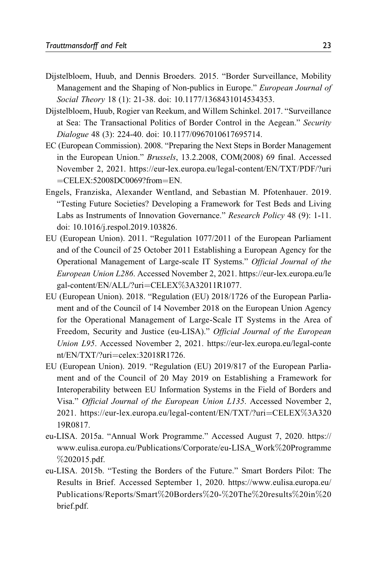- <span id="page-22-0"></span>Dijstelbloem, Huub, and Dennis Broeders. 2015. "Border Surveillance, Mobility Management and the Shaping of Non-publics in Europe." European Journal of Social Theory 18 (1): 21-38. doi: 10.1177/1368431014534353.
- Dijstelbloem, Huub, Rogier van Reekum, and Willem Schinkel. 2017. "Surveillance at Sea: The Transactional Politics of Border Control in the Aegean." Security Dialogue 48 (3): 224-40. doi: 10.1177/0967010617695714.
- EC (European Commission). 2008. "Preparing the Next Steps in Border Management in the European Union." Brussels, 13.2.2008, COM(2008) 69 final. Accessed November 2, 2021. [https://eur-lex.europa.eu/legal-content/EN/TXT/PDF/?uri](https://eur-lex.europa.eu/legal-content/EN/TXT/PDF/?uri=CELEX:52008DC0069?from=EN)  $=$ [CELEX:52008DC0069?from](https://eur-lex.europa.eu/legal-content/EN/TXT/PDF/?uri=CELEX:52008DC0069?from=EN) $=$ [EN](https://eur-lex.europa.eu/legal-content/EN/TXT/PDF/?uri=CELEX:52008DC0069?from=EN).
- Engels, Franziska, Alexander Wentland, and Sebastian M. Pfotenhauer. 2019. "Testing Future Societies? Developing a Framework for Test Beds and Living Labs as Instruments of Innovation Governance." Research Policy 48 (9): 1-11. doi: 10.1016/j.respol.2019.103826.
- EU (European Union). 2011. "Regulation 1077/2011 of the European Parliament and of the Council of 25 October 2011 Establishing a European Agency for the Operational Management of Large-scale IT Systems." Official Journal of the European Union L286. Accessed November 2, 2021. [https://eur-lex.europa.eu/le](https://eur-lex.europa.eu/legal-content/EN/ALL/?uri=CELEX%3A32011R1077) [gal-content/EN/ALL/?uri](https://eur-lex.europa.eu/legal-content/EN/ALL/?uri=CELEX%3A32011R1077)=[CELEX](https://eur-lex.europa.eu/legal-content/EN/ALL/?uri=CELEX%3A32011R1077)%[3A32011R1077.](https://eur-lex.europa.eu/legal-content/EN/ALL/?uri=CELEX%3A32011R1077)
- EU (European Union). 2018. "Regulation (EU) 2018/1726 of the European Parliament and of the Council of 14 November 2018 on the European Union Agency for the Operational Management of Large-Scale IT Systems in the Area of Freedom, Security and Justice (eu-LISA)." Official Journal of the European Union L95. Accessed November 2, 2021. [https://eur-lex.europa.eu/legal-conte](https://eur-lex.europa.eu/legal-content/EN/TXT/?uri=celex:32018R1726)  $nt/EN/TXT$ ?uri $=$ [celex:32018R1726.](https://eur-lex.europa.eu/legal-content/EN/TXT/?uri=celex:32018R1726)
- EU (European Union). 2019. "Regulation (EU) 2019/817 of the European Parliament and of the Council of 20 May 2019 on Establishing a Framework for Interoperability between EU Information Systems in the Field of Borders and Visa." Official Journal of the European Union L135. Accessed November 2, 2021. [https://eur-lex.europa.eu/legal-content/EN/TXT/?uri](https://eur-lex.europa.eu/legal-content/EN/TXT/?uri=CELEX%3A32019R0817)=[CELEX](https://eur-lex.europa.eu/legal-content/EN/TXT/?uri=CELEX%3A32019R0817)%[3A320](https://eur-lex.europa.eu/legal-content/EN/TXT/?uri=CELEX%3A32019R0817) [19R0817.](https://eur-lex.europa.eu/legal-content/EN/TXT/?uri=CELEX%3A32019R0817)
- eu-LISA. 2015a. "Annual Work Programme." Accessed August 7, 2020. [https://](https://www.eulisa.europa.eu/Publications/Corporate/eu-LISA_Work%20Programme%202015.pdf) [www.eulisa.europa.eu/Publications/Corporate/eu-LISA\\_Work](https://www.eulisa.europa.eu/Publications/Corporate/eu-LISA_Work%20Programme%202015.pdf)%[20Programme](https://www.eulisa.europa.eu/Publications/Corporate/eu-LISA_Work%20Programme%202015.pdf) %[202015.pdf](https://www.eulisa.europa.eu/Publications/Corporate/eu-LISA_Work%20Programme%202015.pdf).
- eu-LISA. 2015b. "Testing the Borders of the Future." Smart Borders Pilot: The Results in Brief. Accessed September 1, 2020. [https://www.eulisa.europa.eu/](https://www.eulisa.europa.eu/Publications/Reports/Smart%20Borders%20-%20The%20results%20in%20brief.pdf) [Publications/Reports/Smart](https://www.eulisa.europa.eu/Publications/Reports/Smart%20Borders%20-%20The%20results%20in%20brief.pdf)%[20Borders](https://www.eulisa.europa.eu/Publications/Reports/Smart%20Borders%20-%20The%20results%20in%20brief.pdf)%[20-](https://www.eulisa.europa.eu/Publications/Reports/Smart%20Borders%20-%20The%20results%20in%20brief.pdf)%[20The](https://www.eulisa.europa.eu/Publications/Reports/Smart%20Borders%20-%20The%20results%20in%20brief.pdf)%[20results](https://www.eulisa.europa.eu/Publications/Reports/Smart%20Borders%20-%20The%20results%20in%20brief.pdf)%[20in](https://www.eulisa.europa.eu/Publications/Reports/Smart%20Borders%20-%20The%20results%20in%20brief.pdf)%[20](https://www.eulisa.europa.eu/Publications/Reports/Smart%20Borders%20-%20The%20results%20in%20brief.pdf) [brief.pdf.](https://www.eulisa.europa.eu/Publications/Reports/Smart%20Borders%20-%20The%20results%20in%20brief.pdf)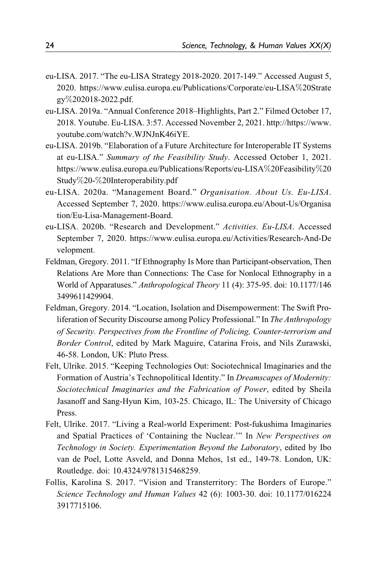- <span id="page-23-0"></span>eu-LISA. 2017. "The eu-LISA Strategy 2018-2020. 2017-149." Accessed August 5, 2020. [https://www.eulisa.europa.eu/Publications/Corporate/eu-LISA](https://www.eulisa.europa.eu/Publications/Corporate/eu-LISA%20Strategy%202018-2022.pdf)%[20Strate](https://www.eulisa.europa.eu/Publications/Corporate/eu-LISA%20Strategy%202018-2022.pdf) [gy](https://www.eulisa.europa.eu/Publications/Corporate/eu-LISA%20Strategy%202018-2022.pdf)%[202018-2022.pdf](https://www.eulisa.europa.eu/Publications/Corporate/eu-LISA%20Strategy%202018-2022.pdf).
- eu-LISA. 2019a. "Annual Conference 2018–Highlights, Part 2." Filmed October 17, 2018. Youtube. Eu-LISA. 3:57. Accessed November 2, 2021. [http://https://www.](http://https://www.youtube.com/watch?v.WJNJnK46iYE) [youtube.com/watch?v.WJNJnK46iYE](http://https://www.youtube.com/watch?v.WJNJnK46iYE).
- eu-LISA. 2019b. "Elaboration of a Future Architecture for Interoperable IT Systems at eu-LISA." Summary of the Feasibility Study. Accessed October 1, 2021. [https://www.eulisa.europa.eu/Publications/Reports/eu-LISA](https://www.eulisa.europa.eu/Publications/Reports/eu-LISA%20Feasibility%20Study%20-%20Interoperability.pdf)%[20Feasibility](https://www.eulisa.europa.eu/Publications/Reports/eu-LISA%20Feasibility%20Study%20-%20Interoperability.pdf)%[20](https://www.eulisa.europa.eu/Publications/Reports/eu-LISA%20Feasibility%20Study%20-%20Interoperability.pdf) [Study](https://www.eulisa.europa.eu/Publications/Reports/eu-LISA%20Feasibility%20Study%20-%20Interoperability.pdf)%[20-](https://www.eulisa.europa.eu/Publications/Reports/eu-LISA%20Feasibility%20Study%20-%20Interoperability.pdf)%[20Interoperability.pdf](https://www.eulisa.europa.eu/Publications/Reports/eu-LISA%20Feasibility%20Study%20-%20Interoperability.pdf)
- eu-LISA. 2020a. "Management Board." Organisation. About Us. Eu-LISA. Accessed September 7, 2020. [https://www.eulisa.europa.eu/About-Us/Organisa](https://www.eulisa.europa.eu/About-Us/Organisation/Eu-Lisa-Management-Board) [tion/Eu-Lisa-Management-Board.](https://www.eulisa.europa.eu/About-Us/Organisation/Eu-Lisa-Management-Board)
- eu-LISA. 2020b. "Research and Development." Activities. Eu-LISA. Accessed September 7, 2020. [https://www.eulisa.europa.eu/Activities/Research-And-De](https://www.eulisa.europa.eu/Activities/Research-And-Development) [velopment.](https://www.eulisa.europa.eu/Activities/Research-And-Development)
- Feldman, Gregory. 2011. "If Ethnography Is More than Participant-observation, Then Relations Are More than Connections: The Case for Nonlocal Ethnography in a World of Apparatuses." Anthropological Theory 11 (4): 375-95. doi: 10.1177/146 3499611429904.
- Feldman, Gregory. 2014. "Location, Isolation and Disempowerment: The Swift Proliferation of Security Discourse among Policy Professional." In The Anthropology of Security. Perspectives from the Frontline of Policing, Counter-terrorism and Border Control, edited by Mark Maguire, Catarina Frois, and Nils Zurawski, 46-58. London, UK: Pluto Press.
- Felt, Ulrike. 2015. "Keeping Technologies Out: Sociotechnical Imaginaries and the Formation of Austria's Technopolitical Identity." In Dreamscapes of Modernity: Sociotechnical Imaginaries and the Fabrication of Power, edited by Sheila Jasanoff and Sang-Hyun Kim, 103-25. Chicago, IL: The University of Chicago Press.
- Felt, Ulrike. 2017. "Living a Real-world Experiment: Post-fukushima Imaginaries and Spatial Practices of 'Containing the Nuclear." In New Perspectives on Technology in Society. Experimentation Beyond the Laboratory, edited by Ibo van de Poel, Lotte Asveld, and Donna Mehos, 1st ed., 149-78. London, UK: Routledge. doi: 10.4324/9781315468259.
- Follis, Karolina S. 2017. "Vision and Transterritory: The Borders of Europe." Science Technology and Human Values 42 (6): 1003-30. doi: 10.1177/016224 3917715106.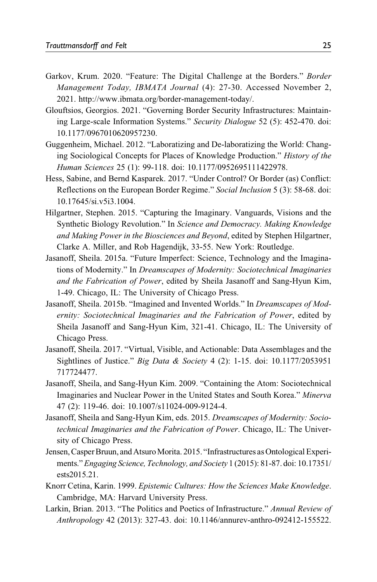- <span id="page-24-0"></span>Garkov, Krum. 2020. "Feature: The Digital Challenge at the Borders." Border Management Today, IBMATA Journal (4): 27-30. Accessed November 2, 2021. [http://www.ibmata.org/border-management-today/.](http://www.ibmata.org/border-management-today/)
- Glouftsios, Georgios. 2021. "Governing Border Security Infrastructures: Maintaining Large-scale Information Systems." Security Dialogue 52 (5): 452-470. doi: 10.1177/0967010620957230.
- Guggenheim, Michael. 2012. "Laboratizing and De-laboratizing the World: Changing Sociological Concepts for Places of Knowledge Production." History of the Human Sciences 25 (1): 99-118. doi: 10.1177/0952695111422978.
- Hess, Sabine, and Bernd Kasparek. 2017. "Under Control? Or Border (as) Conflict: Reflections on the European Border Regime." Social Inclusion 5 (3): 58-68. doi: 10.17645/si.v5i3.1004.
- Hilgartner, Stephen. 2015. "Capturing the Imaginary. Vanguards, Visions and the Synthetic Biology Revolution." In Science and Democracy. Making Knowledge and Making Power in the Biosciences and Beyond, edited by Stephen Hilgartner, Clarke A. Miller, and Rob Hagendijk, 33-55. New York: Routledge.
- Jasanoff, Sheila. 2015a. "Future Imperfect: Science, Technology and the Imaginations of Modernity." In Dreamscapes of Modernity: Sociotechnical Imaginaries and the Fabrication of Power, edited by Sheila Jasanoff and Sang-Hyun Kim, 1-49. Chicago, IL: The University of Chicago Press.
- Jasanoff, Sheila. 2015b. "Imagined and Invented Worlds." In Dreamscapes of Modernity: Sociotechnical Imaginaries and the Fabrication of Power, edited by Sheila Jasanoff and Sang-Hyun Kim, 321-41. Chicago, IL: The University of Chicago Press.
- Jasanoff, Sheila. 2017. "Virtual, Visible, and Actionable: Data Assemblages and the Sightlines of Justice." Big Data & Society 4 (2): 1-15. doi: 10.1177/2053951 717724477.
- Jasanoff, Sheila, and Sang-Hyun Kim. 2009. "Containing the Atom: Sociotechnical Imaginaries and Nuclear Power in the United States and South Korea." Minerva 47 (2): 119-46. doi: 10.1007/s11024-009-9124-4.
- Jasanoff, Sheila and Sang-Hyun Kim, eds. 2015. Dreamscapes of Modernity: Sociotechnical Imaginaries and the Fabrication of Power. Chicago, IL: The University of Chicago Press.
- Jensen, Casper Bruun, and Atsuro Morita. 2015. "Infrastructures as Ontological Experiments."Engaging Science, Technology, and Society 1 (2015): 81-87. doi: 10.17351/ ests2015.21.
- Knorr Cetina, Karin. 1999. Epistemic Cultures: How the Sciences Make Knowledge. Cambridge, MA: Harvard University Press.
- Larkin, Brian. 2013. "The Politics and Poetics of Infrastructure." Annual Review of Anthropology 42 (2013): 327-43. doi: 10.1146/annurev-anthro-092412-155522.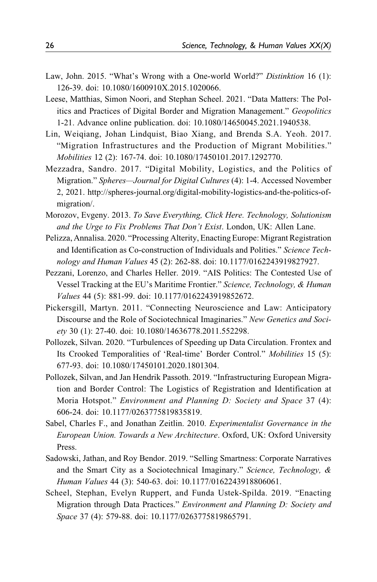- <span id="page-25-0"></span>Law, John. 2015. "What's Wrong with a One-world World?" Distinktion 16 (1): 126-39. doi: 10.1080/1600910X.2015.1020066.
- Leese, Matthias, Simon Noori, and Stephan Scheel. 2021. "Data Matters: The Politics and Practices of Digital Border and Migration Management." Geopolitics 1-21. Advance online publication. doi: 10.1080/14650045.2021.1940538.
- Lin, Weiqiang, Johan Lindquist, Biao Xiang, and Brenda S.A. Yeoh. 2017. "Migration Infrastructures and the Production of Migrant Mobilities." Mobilities 12 (2): 167-74. doi: 10.1080/17450101.2017.1292770.
- Mezzadra, Sandro. 2017. "Digital Mobility, Logistics, and the Politics of Migration." Spheres-Journal for Digital Cultures (4): 1-4. Accessed November 2, 2021. [http://spheres-journal.org/digital-mobility-logistics-and-the-politics-of](http://spheres-journal.org/digital-mobility-logistics-and-the-politics-of-migration/)[migration/](http://spheres-journal.org/digital-mobility-logistics-and-the-politics-of-migration/).
- Morozov, Evgeny. 2013. To Save Everything, Click Here. Technology, Solutionism and the Urge to Fix Problems That Don't Exist. London, UK: Allen Lane.
- Pelizza, Annalisa. 2020. "Processing Alterity, Enacting Europe: Migrant Registration and Identification as Co-construction of Individuals and Polities." Science Technology and Human Values 45 (2): 262-88. doi: 10.1177/0162243919827927.
- Pezzani, Lorenzo, and Charles Heller. 2019. "AIS Politics: The Contested Use of Vessel Tracking at the EU's Maritime Frontier." Science, Technology, & Human Values 44 (5): 881-99. doi: 10.1177/0162243919852672.
- Pickersgill, Martyn. 2011. "Connecting Neuroscience and Law: Anticipatory Discourse and the Role of Sociotechnical Imaginaries." New Genetics and Society 30 (1): 27-40. doi: 10.1080/14636778.2011.552298.
- Pollozek, Silvan. 2020. "Turbulences of Speeding up Data Circulation. Frontex and Its Crooked Temporalities of 'Real-time' Border Control." Mobilities 15 (5): 677-93. doi: 10.1080/17450101.2020.1801304.
- Pollozek, Silvan, and Jan Hendrik Passoth. 2019. "Infrastructuring European Migration and Border Control: The Logistics of Registration and Identification at Moria Hotspot." Environment and Planning D: Society and Space 37 (4): 606-24. doi: 10.1177/0263775819835819.
- Sabel, Charles F., and Jonathan Zeitlin. 2010. Experimentalist Governance in the European Union. Towards a New Architecture. Oxford, UK: Oxford University Press.
- Sadowski, Jathan, and Roy Bendor. 2019. "Selling Smartness: Corporate Narratives and the Smart City as a Sociotechnical Imaginary." Science, Technology, & Human Values 44 (3): 540-63. doi: 10.1177/0162243918806061.
- Scheel, Stephan, Evelyn Ruppert, and Funda Ustek-Spilda. 2019. "Enacting Migration through Data Practices." Environment and Planning D: Society and Space 37 (4): 579-88. doi: 10.1177/0263775819865791.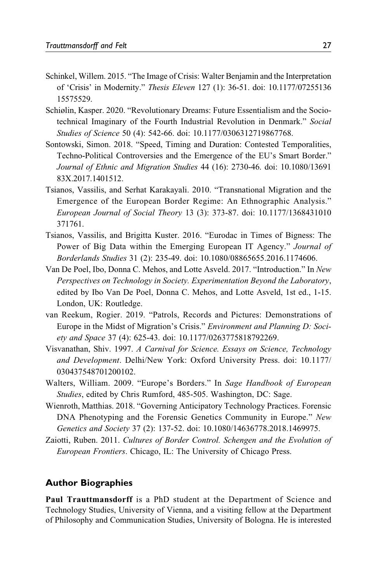- <span id="page-26-0"></span>Schinkel, Willem. 2015. "The Image of Crisis: Walter Benjamin and the Interpretation of 'Crisis' in Modernity." Thesis Eleven 127 (1): 36-51. doi: 10.1177/07255136 15575529.
- Schiølin, Kasper. 2020. "Revolutionary Dreams: Future Essentialism and the Sociotechnical Imaginary of the Fourth Industrial Revolution in Denmark." Social Studies of Science 50 (4): 542-66. doi: 10.1177/0306312719867768.
- Sontowski, Simon. 2018. "Speed, Timing and Duration: Contested Temporalities, Techno-Political Controversies and the Emergence of the EU's Smart Border." Journal of Ethnic and Migration Studies 44 (16): 2730-46. doi: 10.1080/13691 83X.2017.1401512.
- Tsianos, Vassilis, and Serhat Karakayali. 2010. "Transnational Migration and the Emergence of the European Border Regime: An Ethnographic Analysis." European Journal of Social Theory 13 (3): 373-87. doi: 10.1177/1368431010 371761.
- Tsianos, Vassilis, and Brigitta Kuster. 2016. "Eurodac in Times of Bigness: The Power of Big Data within the Emerging European IT Agency." Journal of Borderlands Studies 31 (2): 235-49. doi: 10.1080/08865655.2016.1174606.
- Van De Poel, Ibo, Donna C. Mehos, and Lotte Asveld. 2017. "Introduction." In New Perspectives on Technology in Society. Experimentation Beyond the Laboratory, edited by Ibo Van De Poel, Donna C. Mehos, and Lotte Asveld, 1st ed., 1-15. London, UK: Routledge.
- van Reekum, Rogier. 2019. "Patrols, Records and Pictures: Demonstrations of Europe in the Midst of Migration's Crisis." Environment and Planning D: Society and Space 37 (4): 625-43. doi: 10.1177/0263775818792269.
- Visvanathan, Shiv. 1997. A Carnival for Science. Essays on Science, Technology and Development. Delhi/New York: Oxford University Press. doi: 10.1177/ 030437548701200102.
- Walters, William. 2009. "Europe's Borders." In Sage Handbook of European Studies, edited by Chris Rumford, 485-505. Washington, DC: Sage.
- Wienroth, Matthias. 2018. "Governing Anticipatory Technology Practices. Forensic DNA Phenotyping and the Forensic Genetics Community in Europe." New Genetics and Society 37 (2): 137-52. doi: 10.1080/14636778.2018.1469975.
- Zaiotti, Ruben. 2011. Cultures of Border Control. Schengen and the Evolution of European Frontiers. Chicago, IL: The University of Chicago Press.

#### **Author Biographies**

Paul Trauttmansdorff is a PhD student at the Department of Science and Technology Studies, University of Vienna, and a visiting fellow at the Department of Philosophy and Communication Studies, University of Bologna. He is interested